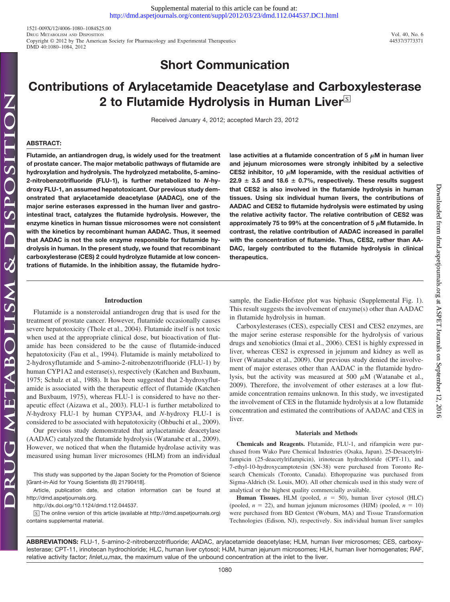1521-009X/12/4006-1080–1084\$25.00 DRUG METABOLISM AND DISPOSITION<br>Convrient © 2012 by The American Society for Pharmacology and Experimental Therapeutics 44537/3773371 40, No. 6 Copyright © 2012 by The American Society for Pharmacology and Experimental Therapeutics DMD 40:1080–1084, 2012

## **Short Communication**

# **Contributions of Arylacetamide Deacetylase and Carboxylesterase 2 to Flutamide Hydrolysis in Human Liver**<sup>⊠</sup>

Received January 4, 2012; accepted March 23, 2012

### **ABSTRACT:**

**Flutamide, an antiandrogen drug, is widely used for the treatment of prostate cancer. The major metabolic pathways of flutamide are hydroxylation and hydrolysis. The hydrolyzed metabolite, 5-amino-2-nitrobenzotrifluoride (FLU-1), is further metabolized to** *N***-hydroxy FLU-1, an assumed hepatotoxicant. Our previous study demonstrated that arylacetamide deacetylase (AADAC), one of the major serine esterases expressed in the human liver and gastrointestinal tract, catalyzes the flutamide hydrolysis. However, the enzyme kinetics in human tissue microsomes were not consistent with the kinetics by recombinant human AADAC. Thus, it seemed that AADAC is not the sole enzyme responsible for flutamide hydrolysis in human. In the present study, we found that recombinant carboxylesterase (CES) 2 could hydrolyze flutamide at low concentrations of flutamide. In the inhibition assay, the flutamide hydro-** lase activities at a flutamide concentration of  $5 \mu$ M in human liver **and jejunum microsomes were strongly inhibited by a selective** CES2 inhibitor, 10  $\mu$ M loperamide, with the residual activities of  $22.9 \pm 3.5$  and 18.6  $\pm$  0.7%, respectively. These results suggest **that CES2 is also involved in the flutamide hydrolysis in human tissues. Using six individual human livers, the contributions of AADAC and CES2 to flutamide hydrolysis were estimated by using the relative activity factor. The relative contribution of CES2 was** approximately 75 to 99% at the concentration of 5  $\mu$ M flutamide. In **contrast, the relative contribution of AADAC increased in parallel with the concentration of flutamide. Thus, CES2, rather than AA-DAC, largely contributed to the flutamide hydrolysis in clinical therapeutics.**

#### **Introduction**

Flutamide is a nonsteroidal antiandrogen drug that is used for the treatment of prostate cancer. However, flutamide occasionally causes severe hepatotoxicity (Thole et al., 2004). Flutamide itself is not toxic when used at the appropriate clinical dose, but bioactivation of flutamide has been considered to be the cause of flutamide-induced hepatotoxicity (Fau et al., 1994). Flutamide is mainly metabolized to 2-hydroxyflutamide and 5-amino-2-nitrobenzotrifluoride (FLU-1) by human CYP1A2 and esterase(s), respectively (Katchen and Buxbaum, 1975; Schulz et al., 1988). It has been suggested that 2-hydroxyflutamide is associated with the therapeutic effect of flutamide (Katchen and Buxbaum, 1975), whereas FLU-1 is considered to have no therapeutic effect (Aizawa et al., 2003). FLU-1 is further metabolized to *N*-hydroxy FLU-1 by human CYP3A4, and *N*-hydroxy FLU-1 is considered to be associated with hepatotoxicity (Ohbuchi et al., 2009).

Our previous study demonstrated that arylacetamide deacetylase (AADAC) catalyzed the flutamide hydrolysis (Watanabe et al., 2009). However, we noticed that when the flutamide hydrolase activity was measured using human liver microsomes (HLM) from an individual

This study was supported by the Japan Society for the Promotion of Science [Grant-in-Aid for Young Scientists (B) 21790418].

Article, publication date, and citation information can be found at http://dmd.aspetjournals.org.

http://dx.doi.org/10.1124/dmd.112.044537.

 $\boxed{\text{S}}$  The online version of this article (available at http://dmd.aspetjournals.org) contains supplemental material.

sample, the Eadie-Hofstee plot was biphasic (Supplemental Fig. 1). This result suggests the involvement of enzyme(s) other than AADAC in flutamide hydrolysis in human.

Carboxylesterases (CES), especially CES1 and CES2 enzymes, are the major serine esterase responsible for the hydrolysis of various drugs and xenobiotics (Imai et al., 2006). CES1 is highly expressed in liver, whereas CES2 is expressed in jejunum and kidney as well as liver (Watanabe et al., 2009). Our previous study denied the involvement of major esterases other than AADAC in the flutamide hydrolysis, but the activity was measured at 500  $\mu$ M (Watanabe et al., 2009). Therefore, the involvement of other esterases at a low flutamide concentration remains unknown. In this study, we investigated the involvement of CES in the flutamide hydrolysis at a low flutamide concentration and estimated the contributions of AADAC and CES in liver.

#### **Materials and Methods**

**Chemicals and Reagents.** Flutamide, FLU-1, and rifampicin were purchased from Wako Pure Chemical Industries (Osaka, Japan). 25-Desacetylrifampicin (25-deacetylrifampicin), irinotecan hydrochloride (CPT-11), and 7-ethyl-10-hydroxycamptotesin (SN-38) were purchased from Toronto Research Chemicals (Toronto, Canada). Ethopropazine was purchased from Sigma-Aldrich (St. Louis, MO). All other chemicals used in this study were of analytical or the highest quality commercially available.

**Human Tissues.** HLM (pooled,  $n = 50$ ), human liver cytosol (HLC) (pooled,  $n = 22$ ), and human jejunum microsomes (HJM) (pooled,  $n = 10$ ) were purchased from BD Gentest (Woburn, MA) and Tissue Transformation Technologies (Edison, NJ), respectively. Six individual human liver samples

**ABBREVIATIONS:** FLU-1, 5-amino-2-nitrobenzotrifluoride; AADAC, arylacetamide deacetylase; HLM, human liver microsomes; CES, carboxylesterase; CPT-11, irinotecan hydrochloride; HLC, human liver cytosol; HJM, human jejunum microsomes; HLH, human liver homogenates; RAF, relative activity factor; *I*inlet,u,max, the maximum value of the unbound concentration at the inlet to the liver.

Downloaded from [dmd.aspetjournals.org](http://dmd.aspetjournals.org/) at ASPET Journals on September 12, 2016

September 12,

2016

Downloaded from dmd.aspetjournals.org at ASPET Journals on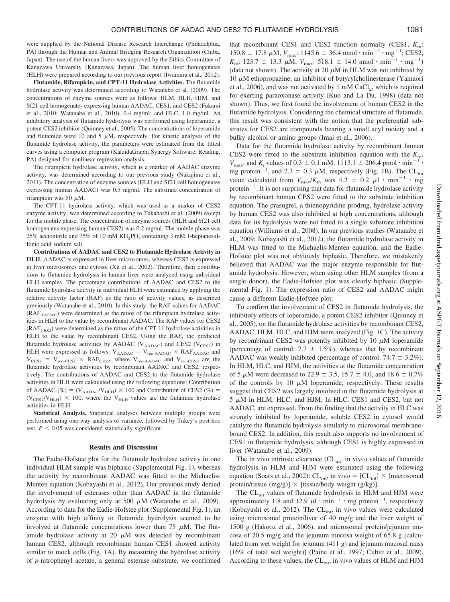were supplied by the National Disease Research Interchange (Philadelphia, PA) through the Human and Animal Bridging Research Organization (Chiba, Japan). The use of the human livers was approved by the Ethics Committee of Kanazawa University (Kanazawa, Japan). The human liver homogenates (HLH) were prepared according to our previous report (Iwamura et al., 2012).

**Flutamide, Rifampicin, and CPT-11 Hydrolase Activities.** The flutamide hydrolase activity was determined according to Watanabe et al. (2009). The concentrations of enzyme sources were as follows: HLM, HLH, HJM, and Sf21 cell homogenates expressing human AADAC, CES1, and CES2 (Fukami et al., 2010; Watanabe et al., 2010), 0.4 mg/ml; and HLC, 1.0 mg/ml. An inhibitory analysis of flutamide hydrolysis was performed using loperamide, a potent CES2 inhibitor (Quinney et al., 2005). The concentrations of loperamide and flutamide were 10 and 5  $\mu$ M, respectively. For kinetic analyses of the flutamide hydrolase activity, the parameters were estimated from the fitted curves using a computer program (KaleidaGraph; Synergy Software, Reading, PA) designed for nonlinear regression analysis.

The rifampicin hydrolase activity, which is a marker of AADAC enzyme activity, was determined according to our previous study (Nakajima et al., 2011). The concentration of enzyme sources (HLH and Sf21 cell homogenates expressing human AADAC) was 0.5 mg/ml. The substrate concentration of rifampicin was 50  $\mu$ M.

The CPT-11 hydrolase activity, which was used as a marker of CES2 enzyme activity, was determined according to Takahashi et al. (2009) except for the mobile phase. The concentration of enzyme sources (HLH and Sf21 cell homogenates expressing human CES2) was 0.2 mg/ml. The mobile phase was 25% acetonitrile and 75% of 10 mM  $KH_2PO_4$  containing 3 mM 1-heptanesulfonic acid sodium salt.

**Contributions of AADAC and CES2 to Flutamide Hydrolase Activity in HLH.** AADAC is expressed in liver microsomes, whereas CES2 is expressed in liver microsomes and cytosol (Xu et al., 2002). Therefore, their contributions to flutamide hydrolysis in human liver were analyzed using individual HLH samples. The percentage contributions of AADAC and CES2 to the flutamide hydrolase activity in individual HLH were estimated by applying the relative activity factor (RAF) as the ratio of activity values, as described previously (Watanabe et al., 2010). In this study, the RAF values for AADAC (RAF<sub>AADAC</sub>) were determined as the ratios of the rifampicin hydrolase activities in HLH to the value by recombinant AADAC. The RAF values for CES2  $(RAF<sub>CES2</sub>)$  were determined as the ratios of the CPT-11 hydrolase activities in HLH to the value by recombinant CES2. Using the RAF, the predicted flutamide hydrolase activities by AADAC ( $V_{\rm AADAC}$ ) and CES2 ( $V_{\rm CES2}$ ) in HLH were expressed as follows:  $V_{AADAC} = V_{rec\text{-AADAC}} \times RAF_{AADAC}$  and  $V_{\text{CES2}} = V_{\text{rec-CES2}} \times \text{RAF}_{\text{CES2}}$ , where  $V_{\text{rec-AADAC}}$  and  $V_{\text{rec-CES2}}$  are the flutamide hydrolase activities by recombinant AADAC and CES2, respectively. The contributions of AADAC and CES2 to the flutamide hydrolase activities in HLH were calculated using the following equations: Contribution of AADAC (%) =  $(V_{\text{AADAC}}/V_{\text{HLH}}) \times 100$  and Contribution of CES2 (%) =  $(V_{\text{CES2}}/V_{\text{HLH}}) \times 100$ , where the V<sub>HLH</sub> values are the flutamide hydrolase activities in HLH.

**Statistical Analysis.** Statistical analyses between multiple groups were performed using one-way analysis of variance, followed by Tukey's post hoc test.  $P < 0.05$  was considered statistically significant.

#### **Results and Discussion**

The Eadie-Hofstee plot for the flutamide hydrolase activity in one individual HLM sample was biphasic (Supplemental Fig. 1), whereas the activity by recombinant AADAC was fitted to the Michaelis-Menten equation (Kobayashi et al., 2012). Our previous study denied the involvement of esterases other than AADAC in the flutamide hydrolysis by evaluating only at 500  $\mu$ M (Watanabe et al., 2009). According to data for the Eadie-Hofstee plot (Supplemental Fig. 1), an enzyme with high affinity to flutamide hydrolysis seemed to be involved at flutamide concentrations lower than  $75 \mu M$ . The flutamide hydrolase activity at 20  $\mu$ M was detected by recombinant human CES2, although recombinant human CES1 showed activity similar to mock cells (Fig. 1A). By measuring the hydrolase activity of *p*-nitrophenyl acetate, a general esterase substrate, we confirmed

that recombinant CES1 and CES2 function normally (CES1, *K*m:  $150.8 \pm 17.8 \mu M$ ,  $V_{\text{max}}$ :  $1145.6 \pm 36.4 \text{ nmol} \cdot \text{min}^{-1} \cdot \text{mg}^{-1}$ ; CES2,  $K_{\text{m}}$ : 123.7  $\pm$  13.3  $\mu$ M,  $V_{\text{max}}$ : 518.1  $\pm$  14.0 nmol  $\cdot$  min<sup>-1</sup>  $\cdot$  mg<sup>-1</sup>) (data not shown). The activity at 20  $\mu$ M in HLM was not inhibited by  $10 \mu$ M ethopropazine, an inhibitor of butyrylcholinesterase (Yamaori et al.,  $2006$ ), and was not activated by 1 mM CaCl<sub>2</sub>, which is required for exerting paraoxonase activity (Kuo and La Du, 1998) (data not shown). Thus, we first found the involvement of human CES2 in the flutamide hydrolysis. Considering the chemical structure of flutamide, this result was consistent with the notion that the preferential substrates for CES2 are compounds bearing a small acyl moiety and a bulky alcohol or amino groups (Imai et al., 2006).

Data for the flutamide hydrolase activity by recombinant human CES2 were fitted to the substrate inhibition equation with the  $K<sub>m</sub>$ ,  $V_{\text{max}}$ , and  $K_i$  values of 0.3  $\pm$  0.1 mM, 1113.1  $\pm$  206.4 pmol  $\cdot$  min<sup>-1</sup> $\cdot$ mg protein<sup>-1</sup>, and 2.3  $\pm$  0.3  $\mu$ M, respectively (Fig. 1B). The CL<sub>int</sub> value calculated from  $V_{\text{max}}/K_m$  was  $4.2 \pm 0.2 \mu l \cdot \text{min}^{-1} \cdot \text{mg}$ protein<sup> $-1$ </sup>. It is not surprising that data for flutamide hydrolase activity by recombinant human CES2 were fitted to the substrate inhibition equation. The prasugrel, a thienopyridine prodrug, hydrolase activity by human CES2 was also inhibited at high concentrations, although data for its hydrolysis were not fitted to a single substrate inhibition equation (Williams et al., 2008). In our previous studies (Watanabe et al., 2009; Kobayashi et al., 2012), the flutamide hydrolase activity in HLM was fitted to the Michaelis-Menten equation, and the Eadie-Hofstee plot was not obviously biphasic. Therefore, we mistakenly believed that AADAC was the major enzyme responsible for flutamide hydrolysis. However, when using other HLM samples (from a single donor), the Eadie-Hofstee plot was clearly biphasic (Supplemental Fig. 1). The expression ratio of CES2 and AADAC might cause a different Eadie-Hofstee plot.

To confirm the involvement of CES2 in flutamide hydrolysis, the inhibitory effects of loperamide, a potent CES2 inhibitor (Quinney et al., 2005), on the flutamide hydrolase activities by recombinant CES2, AADAC, HLM, HLC, and HJM were analyzed (Fig. 1C). The activity by recombinant CES2 was potently inhibited by 10  $\mu$ M loperamide (percentage of control: 7.7  $\pm$  1.5%), whereas that by recombinant AADAC was weakly inhibited (percentage of control:  $74.7 \pm 3.2\%$ ). In HLM, HLC, and HJM, the activities at the flutamide concentration of 5  $\mu$ M were decreased to 22.9  $\pm$  3.5, 15.7  $\pm$  4.0, and 18.6  $\pm$  0.7% of the controls by 10  $\mu$ M loperamide, respectively. These results suggest that CES2 was largely involved in the flutamide hydrolysis at  $5 \mu M$  in HLM, HLC, and HJM. In HLC, CES1 and CES2, but not AADAC, are expressed. From the finding that the activity in HLC was strongly inhibited by loperamide, soluble CES2 in cytosol would catalyze the flutamide hydrolysis similarly to microsomal membranebound CES2. In addition, this result also supports no involvement of CES1 in flutamide hydrolysis, although CES1 is highly expressed in liver (Watanabe et al., 2009).

The in vivo intrinsic clearance  $CL<sub>int</sub>$ , in vivo) values of flutamide hydrolysis in HLM and HJM were estimated using the following equation (Soars et al., 2002):  $CL_{int}$ , in vivo =  $[CL_{int}] \times$  [microsomal protein/tissue  $(mg/g)$ ]  $\times$  [tissue/body weight (g/kg)].

The CL<sub>int</sub> values of flutamide hydrolysis in HLM and HJM were approximately 1.8 and 12.9  $\mu$ l  $\cdot$  min<sup>-1</sup>  $\cdot$  mg protein<sup>-1</sup>, respectively (Kobayashi et al., 2012). The CL<sub>int</sub>, in vivo values were calculated using microsomal protein/liver of 40 mg/g and the liver weight of 1500 g (Hakooz et al., 2006), and microsomal protein/jejunum mucosa of 20.5 mg/g and the jejunum mucosa weight of 65.8 g [calculated from wet weight for jejunum (411 g) and jejunum mucosal mass (16% of total wet weight)] (Paine et al., 1997; Cubitt et al., 2009). According to these values, the CL<sub>int</sub>, in vivo values of HLM and HJM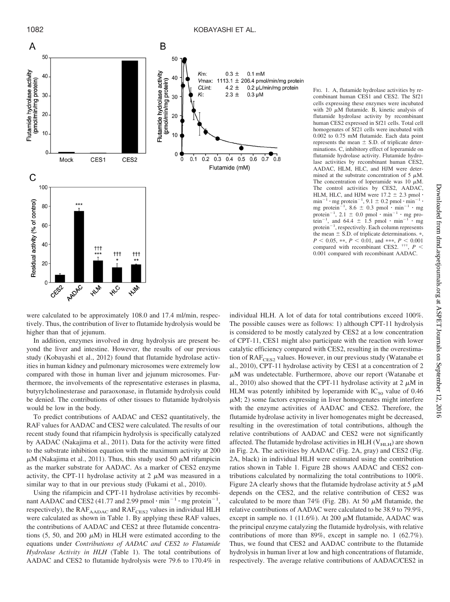

FIG. 1. A, flutamide hydrolase activities by recombinant human CES1 and CES2. The Sf21 cells expressing these enzymes were incubated with 20  $\mu$ M flutamide. B, kinetic analysis of flutamide hydrolase activity by recombinant human CES2 expressed in Sf21 cells. Total cell homogenates of Sf21 cells were incubated with 0.002 to 0.75 mM flutamide. Each data point represents the mean  $\pm$  S.D. of triplicate determinations. C, inhibitory effect of loperamide on flutamide hydrolase activity. Flutamide hydrolase activities by recombinant human CES2, AADAC, HLM, HLC, and HJM were determined at the substrate concentration of 5  $\mu$ M. The concentration of loperamide was 10  $\mu$ M. The control activities by CES2, AADAC, HLM, HLC, and HJM were  $17.2 \pm 2.3$  pmol  $\cdot$ min<sup>-1</sup> · mg protein<sup>-1</sup>, 9.1  $\pm$  0.2 pmol · min<sup>-1</sup> · mg<br>mg protein<sup>-1</sup>, 8.6  $\pm$  0.3 pmol · min<sup>-1</sup> · mg protein<sup>-1</sup>, 2.1  $\pm$  0.0 pmol  $\cdot$  min<sup>-1</sup>  $\cdot$  mg protein<sup>-1</sup>, and 64.4  $\pm$  1.5 pmol  $\cdot$  min<sup>-1</sup>  $\cdot$  mg  $protein^{-1}$ , respectively. Each column represents the mean  $\pm$  S.D. of triplicate determinations.  $*$ ,  $P < 0.05$ , \*\*,  $P < 0.01$ , and \*\*\*,  $P < 0.001$ compared with recombinant CES2. †††, *P* 0.001 compared with recombinant AADAC.

were calculated to be approximately 108.0 and 17.4 ml/min, respectively. Thus, the contribution of liver to flutamide hydrolysis would be higher than that of jejunum.

In addition, enzymes involved in drug hydrolysis are present beyond the liver and intestine. However, the results of our previous study (Kobayashi et al., 2012) found that flutamide hydrolase activities in human kidney and pulmonary microsomes were extremely low compared with those in human liver and jejunum microsomes. Furthermore, the involvements of the representative esterases in plasma, butyrylcholinesterase and paraoxonase, in flutamide hydrolysis could be denied. The contributions of other tissues to flutamide hydrolysis would be low in the body.

To predict contributions of AADAC and CES2 quantitatively, the RAF values for AADAC and CES2 were calculated. The results of our recent study found that rifampicin hydrolysis is specifically catalyzed by AADAC (Nakajima et al., 2011). Data for the activity were fitted to the substrate inhibition equation with the maximum activity at 200  $\mu$ M (Nakajima et al., 2011). Thus, this study used 50  $\mu$ M rifampicin as the marker substrate for AADAC. As a marker of CES2 enzyme activity, the CPT-11 hydrolase activity at 2  $\mu$ M was measured in a similar way to that in our previous study (Fukami et al., 2010).

Using the rifampicin and CPT-11 hydrolase activities by recombinant AADAC and CES2 (41.77 and 2.99 pmol  $\cdot$  min<sup>-1</sup> $\cdot$  mg protein<sup>-1</sup>, respectively), the  $RAF<sub>AADAC</sub>$  and  $RAF<sub>CES2</sub>$  values in individual HLH were calculated as shown in Table 1. By applying these RAF values, the contributions of AADAC and CES2 at three flutamide concentrations (5, 50, and 200  $\mu$ M) in HLH were estimated according to the equations under *Contributions of AADAC and CES2 to Flutamide Hydrolase Activity in HLH* (Table 1). The total contributions of AADAC and CES2 to flutamide hydrolysis were 79.6 to 170.4% in

individual HLH. A lot of data for total contributions exceed 100%. The possible causes were as follows: 1) although CPT-11 hydrolysis is considered to be mostly catalyzed by CES2 at a low concentration of CPT-11, CES1 might also participate with the reaction with lower catalytic efficiency compared with CES2, resulting in the overestimation of RAF<sub>CES2</sub> values. However, in our previous study (Watanabe et al., 2010), CPT-11 hydrolase activity by CES1 at a concentration of 2  $\mu$ M was undetectable. Furthermore, above our report (Watanabe et al., 2010) also showed that the CPT-11 hydrolase activity at 2  $\mu$ M in HLM was potently inhibited by loperamide with  $IC_{50}$  value of 0.46  $\mu$ M; 2) some factors expressing in liver homogenates might interfere with the enzyme activities of AADAC and CES2. Therefore, the flutamide hydrolase activity in liver homogenates might be decreased, resulting in the overestimation of total contributions, although the relative contributions of AADAC and CES2 were not significantly affected. The flutamide hydrolase activities in HLH ( $V<sub>HLH</sub>$ ) are shown in Fig. 2A. The activities by AADAC (Fig. 2A, gray) and CES2 (Fig. 2A, black) in individual HLH were estimated using the contribution ratios shown in Table 1. Figure 2B shows AADAC and CES2 contributions calculated by normalizing the total contributions to 100%. Figure 2A clearly shows that the flutamide hydrolase activity at  $5 \mu M$ depends on the CES2, and the relative contribution of CES2 was calculated to be more than 74% (Fig. 2B). At 50  $\mu$ M flutamide, the relative contributions of AADAC were calculated to be 38.9 to 79.9%, except in sample no. 1 (11.6%). At 200  $\mu$ M flutamide, AADAC was the principal enzyme catalyzing the flutamide hydrolysis, with relative contributions of more than 89%, except in sample no. 1 (62.7%). Thus, we found that CES2 and AADAC contribute to the flutamide hydrolysis in human liver at low and high concentrations of flutamide, respectively. The average relative contributions of AADAC/CES2 in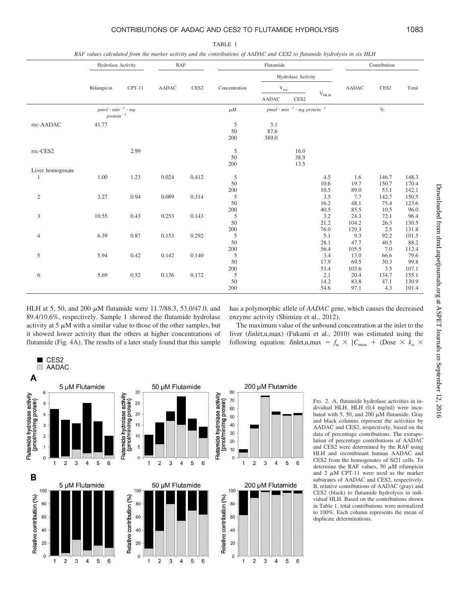## CONTRIBUTIONS OF AADAC AND CES2 TO FLUTAMIDE HYDROLYSIS 1083

TABLE 1 *RAF values calculated from the marker activity and the contributions of AADAC and CES2 to flutamide hydrolysis in six HLH*

|                                  | Hydrolase Activity                               |          | RAF   |                  | Flutamide                      |                                                      |                      |                             | Contribution                |                               |                                 |
|----------------------------------|--------------------------------------------------|----------|-------|------------------|--------------------------------|------------------------------------------------------|----------------------|-----------------------------|-----------------------------|-------------------------------|---------------------------------|
|                                  |                                                  |          |       |                  |                                |                                                      | Hydrolase Activity   |                             |                             |                               |                                 |
|                                  | Rifampicin                                       | $CPT-11$ | AADAC | CES <sub>2</sub> | Concentration                  | $\rm V_{rec}$                                        |                      |                             | <b>AADAC</b>                | CES2                          | Total                           |
|                                  |                                                  |          |       |                  |                                | <b>AADAC</b>                                         | CES <sub>2</sub>     | $\rm V_{HLH}$               |                             |                               |                                 |
|                                  | $pmol \cdot min^{-1} \cdot mg$<br>$protein^{-1}$ |          |       |                  | $\mu$ <i>M</i>                 | $pmol \cdot min^{-1} \cdot mg$ protein <sup>-1</sup> |                      |                             |                             | $\%$                          |                                 |
| rec-AADAC                        | 41.77                                            |          |       |                  | 5<br>50<br>200                 | 3.1<br>87.6<br>389.0                                 |                      |                             |                             |                               |                                 |
| rec-CES2                         |                                                  | 2.99     |       |                  | $\mathfrak s$<br>50<br>200     |                                                      | 16.0<br>38.9<br>13.5 |                             |                             |                               |                                 |
| Liver homogenate<br>$\mathbf{1}$ | 1.00                                             | 1.23     | 0.024 | 0.412            | $\sqrt{5}$<br>50               |                                                      |                      | 4.5<br>10.6                 | 1.6<br>19.7                 | 146.7<br>150.7                | 148.3<br>170.4                  |
| $\sqrt{2}$                       | 3.27                                             | 0.94     | 0.089 | 0.314            | 200<br>$\sqrt{5}$<br>50<br>200 |                                                      |                      | 10.5<br>3.5<br>16.2<br>40.5 | 89.0<br>7.7<br>48.1<br>85.5 | 53.1<br>142.7<br>75.4<br>10.5 | 142.1<br>150.5<br>123.6<br>96.0 |
| $\mathfrak{Z}$                   | 10.55                                            | 0.43     | 0.253 | 0.143            | $\sqrt{5}$<br>50<br>200        |                                                      |                      | 3.2<br>21.2<br>76.0         | 24.3<br>104.2<br>129.3      | 72.1<br>26.3<br>2.5           | 96.4<br>130.5<br>131.8          |
| $\overline{4}$                   | 6.39                                             | 0.87     | 0.153 | 0.292            | $\mathfrak s$<br>50<br>$200\,$ |                                                      |                      | 5.1<br>28.1<br>56.4         | 9.3<br>47.7<br>105.5        | 92.2<br>40.5<br>7.0           | 101.5<br>88.2<br>112.4          |
| 5                                | 5.94                                             | 0.42     | 0.142 | 0.140            | 5<br>50<br>200                 |                                                      |                      | 3.4<br>17.9<br>53.4         | 13.0<br>69.5<br>103.6       | 66.6<br>30.3<br>3.5           | 79.6<br>99.8<br>107.1           |
| 6                                | 5.69                                             | 0.52     | 0.136 | 0.172            | 5<br>50<br>200                 |                                                      |                      | 2.1<br>14.2<br>54.6         | 20.4<br>83.8<br>97.1        | 134.7<br>47.1<br>4.3          | 155.1<br>130.9<br>101.4         |

HLH at 5, 50, and 200  $\mu$ M flutamide were 11.7/88.3, 53.0/47.0, and 89.4/10.6%, respectively. Sample 1 showed the flutamide hydrolase activity at  $5 \mu M$  with a similar value to those of the other samples, but it showed lower activity than the others at higher concentrations of flutamide (Fig. 4A). The results of a later study found that this sample

 $\Box$  CES2

has a polymorphic allele of *AADAC* gene, which causes the decreased enzyme activity (Shimizu et al., 2012).

The maximum value of the unbound concentration at the inlet to the liver (*I*inlet,u,max) (Fukami et al., 2010) was estimated using the following equation: *I*inlet,u,max =  $f_u$   $\times$  [ $C_{\text{max}}$  + (Dose  $\times$   $k_a$   $\times$ 



FIG. 2. A, flutamide hydrolase activities in individual HLH. HLH (0.4 mg/ml) were incubated with 5, 50, and 200  $\mu$ M flutamide. Gray and black columns represent the activities by AADAC and CES2, respectively, based on the data of percentage contributions. The extrapolation of percentage contributions of AADAC and CES2 were determined by the RAF using HLH and recombinant human AADAC and CES2 from the homogenates of Sf21 cells. To determine the RAF values, 50  $\mu$ M rifampicin and 2  $\mu$ M CPT-11 were used as the marker substrates of AADAC and CES2, respectively. B, relative contributions of AADAC (gray) and CES2 (black) to flutamide hydrolysis in individual HLH. Based on the contributions shown in Table 1, total contributions were normalized to 100%. Each column represents the mean of duplicate determinations.